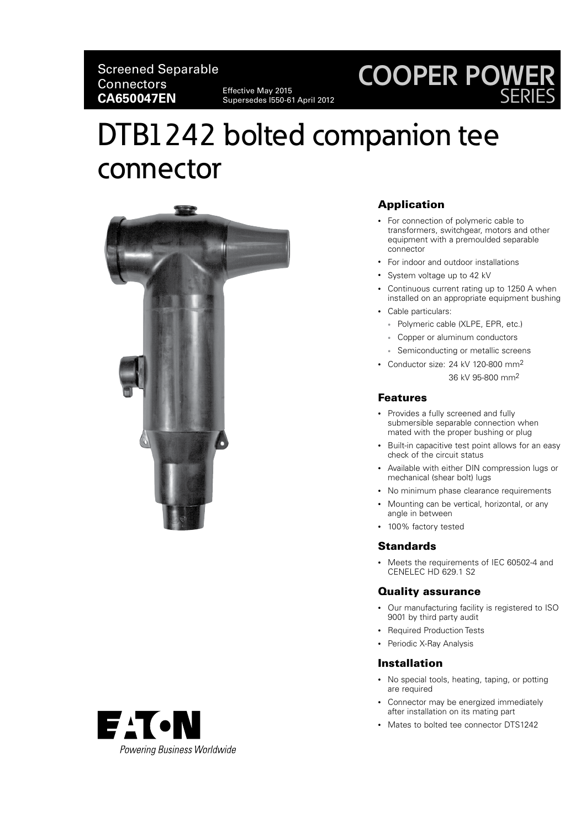# **COOPER POWER** SERIES

# DTB1242 bolted companion tee connector

Supersedes I550-61 April 2012



# Application

- For connection of polymeric cable to transformers, switchgear, motors and other equipment with a premoulded separable connector
- For indoor and outdoor installations
- System voltage up to 42 kV
- Continuous current rating up to 1250 A when installed on an appropriate equipment bushing
- Cable particulars:
	- Polymeric cable (XLPE, EPR, etc.)
	- Copper or aluminum conductors
	- Semiconducting or metallic screens
- Conductor size: 24 kV 120-800 mm2 36 kV 95-800 mm2

#### Features

- Provides a fully screened and fully submersible separable connection when mated with the proper bushing or plug
- Built-in capacitive test point allows for an easy check of the circuit status
- Available with either DIN compression lugs or mechanical (shear bolt) lugs
- No minimum phase clearance requirements
- Mounting can be vertical, horizontal, or any angle in between
- 100% factory tested

# **Standards**

• Meets the requirements of IEC 60502-4 and CENELEC HD 629.1 S2

## Quality assurance

- Our manufacturing facility is registered to ISO 9001 by third party audit
- Required Production Tests
- Periodic X-Ray Analysis

# Installation

- No special tools, heating, taping, or potting are required
- Connector may be energized immediately after installation on its mating part
- Mates to bolted tee connector DTS1242

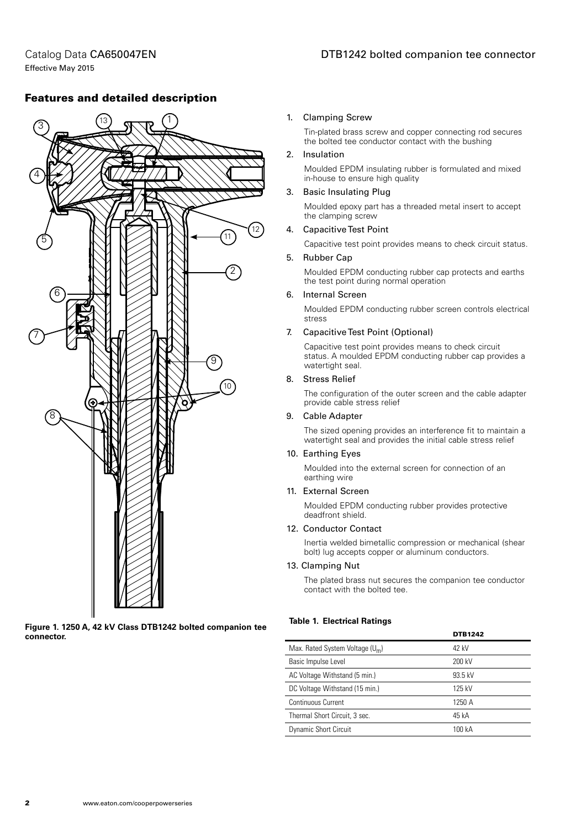Catalog Data CA650047EN Effective May 2015

# Features and detailed description



**Figure 1. 1250 A, 42 kV Class DTB1242 bolted companion tee connector.**

#### 1. Clamping Screw

Tin-plated brass screw and copper connecting rod secures the bolted tee conductor contact with the bushing

#### 2. Insulation

Moulded EPDM insulating rubber is formulated and mixed in-house to ensure high quality

#### 3. Basic Insulating Plug

Moulded epoxy part has a threaded metal insert to accept the clamping screw

#### 4. Capacitive Test Point

Capacitive test point provides means to check circuit status.

#### 5. Rubber Cap

Moulded EPDM conducting rubber cap protects and earths the test point during normal operation

#### 6. Internal Screen

Moulded EPDM conducting rubber screen controls electrical stress

#### 7. Capacitive Test Point (Optional)

Capacitive test point provides means to check circuit status. A moulded EPDM conducting rubber cap provides a watertight seal.

#### 8. Stress Relief

The configuration of the outer screen and the cable adapter provide cable stress relief

#### 9. Cable Adapter

The sized opening provides an interference fit to maintain a watertight seal and provides the initial cable stress relief

#### 10. Earthing Eyes

Moulded into the external screen for connection of an earthing wire

#### 11. External Screen

Moulded EPDM conducting rubber provides protective deadfront shield.

#### 12. Conductor Contact

Inertia welded bimetallic compression or mechanical (shear bolt) lug accepts copper or aluminum conductors.

#### 13. Clamping Nut

The plated brass nut secures the companion tee conductor contact with the bolted tee.

#### **Table 1. Electrical Ratings**

|                                   | <b>DTB1242</b> |
|-----------------------------------|----------------|
| Max. Rated System Voltage $(U_m)$ | 42 kV          |
| Basic Impulse Level               | 200 kV         |
| AC Voltage Withstand (5 min.)     | 93.5 kV        |
| DC Voltage Withstand (15 min.)    | 125 kV         |
| Continuous Current                | 1250 A         |
| Thermal Short Circuit, 3 sec.     | 45 kA          |
| <b>Dynamic Short Circuit</b>      | 100 kA         |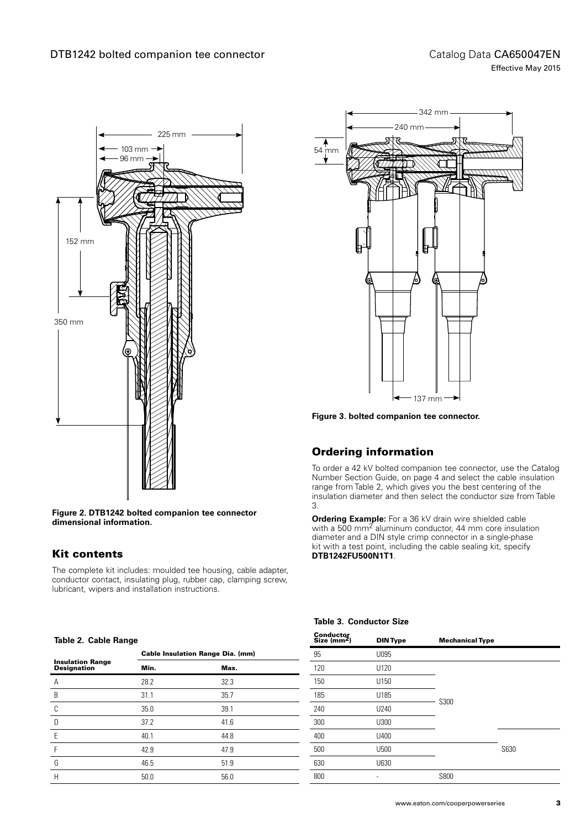

**Figure 2. DTB1242 bolted companion tee connector dimensional information.**

# Kit contents

The complete kit includes: moulded tee housing, cable adapter, conductor contact, insulating plug, rubber cap, clamping screw, lubricant, wipers and installation instructions.

#### **Table 2. Cable Range**



**Figure 3. bolted companion tee connector.**

# Ordering information

To order a 42 kV bolted companion tee connector, use the Catalog Number Section Guide, on page 4 and select the cable insulation range from Table 2, which gives you the best centering of the insulation diameter and then select the conductor size from Table 3.

**Ordering Example:** For a 36 kV drain wire shielded cable with a 500 mm<sup>2</sup> aluminum conductor, 44 mm core insulation diameter and a DIN style crimp connector in a single-phase kit with a test point, including the cable sealing kit, specify **DTB1242FU500N1T1**.

## **Table 3. Conductor Size**

| rapic E. Gabic Hange                    |                                         |      |  |  |
|-----------------------------------------|-----------------------------------------|------|--|--|
|                                         | <b>Cable Insulation Range Dia. (mm)</b> |      |  |  |
| <b>Insulation Range<br/>Designation</b> | Min.                                    | Max. |  |  |
| A                                       | 28.2                                    | 32.3 |  |  |
| B                                       | 31.1                                    | 35.7 |  |  |
| C                                       | 35.0                                    | 39.1 |  |  |
| D                                       | 37.2                                    | 41.6 |  |  |
| E                                       | 40.1                                    | 44.8 |  |  |
| F                                       | 42.9                                    | 47.9 |  |  |
| G                                       | 46.5                                    | 51.9 |  |  |
| H                                       | 50.0                                    | 56.0 |  |  |

| Conductor<br>Size (mm <sup>2</sup> ) | <b>DIN Type</b> | <b>Mechanical Type</b> |      |
|--------------------------------------|-----------------|------------------------|------|
| 95                                   | U095            |                        |      |
| 120                                  | U120            |                        |      |
| 150                                  | U150            | S300                   |      |
| 185                                  | U185            |                        |      |
| 240                                  | U240            |                        |      |
| 300                                  | U300            |                        |      |
| 400                                  | U400            |                        |      |
| 500                                  | U500            |                        | S630 |
| 630                                  | U630            |                        |      |
| 800                                  |                 | S800                   |      |